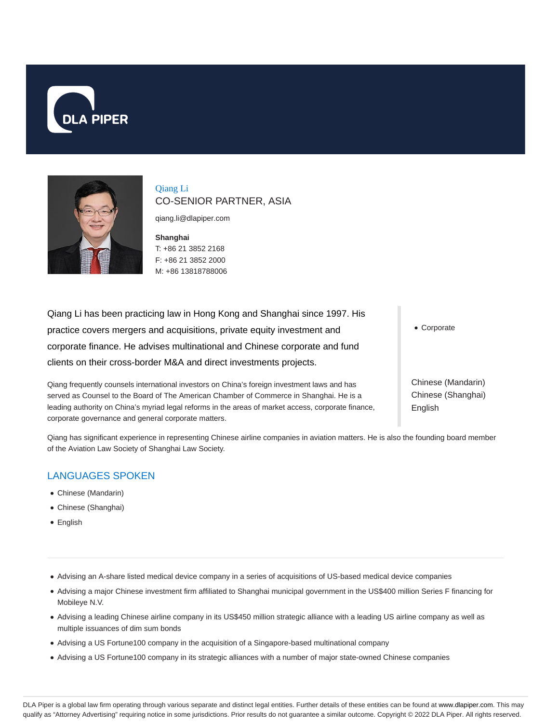



Qiang Li CO-SENIOR PARTNER, ASIA

qiang.li@dlapiper.com

**Shanghai** T: +86 21 3852 2168 F: +86 21 3852 2000 M: +86 13818788006

Qiang Li has been practicing law in Hong Kong and Shanghai since 1997. His practice covers mergers and acquisitions, private equity investment and corporate finance. He advises multinational and Chinese corporate and fund clients on their cross-border M&A and direct investments projects.

Qiang frequently counsels international investors on China's foreign investment laws and has served as Counsel to the Board of The American Chamber of Commerce in Shanghai. He is a leading authority on China's myriad legal reforms in the areas of market access, corporate finance, corporate governance and general corporate matters.

Corporate

Chinese (Mandarin) Chinese (Shanghai) English

Qiang has significant experience in representing Chinese airline companies in aviation matters. He is also the founding board member of the Aviation Law Society of Shanghai Law Society.

# LANGUAGES SPOKEN

- Chinese (Mandarin)
- Chinese (Shanghai)
- English

Advising an A-share listed medical device company in a series of acquisitions of US-based medical device companies

- Advising a major Chinese investment firm affiliated to Shanghai municipal government in the US\$400 million Series F financing for Mobileye N.V.
- Advising a leading Chinese airline company in its US\$450 million strategic alliance with a leading US airline company as well as multiple issuances of dim sum bonds
- Advising a US Fortune100 company in the acquisition of a Singapore-based multinational company
- Advising a US Fortune100 company in its strategic alliances with a number of major state-owned Chinese companies

DLA Piper is a global law firm operating through various separate and distinct legal entities. Further details of these entities can be found at www.dlapiper.com. This may qualify as "Attorney Advertising" requiring notice in some jurisdictions. Prior results do not guarantee a similar outcome. Copyright @ 2022 DLA Piper. All rights reserved.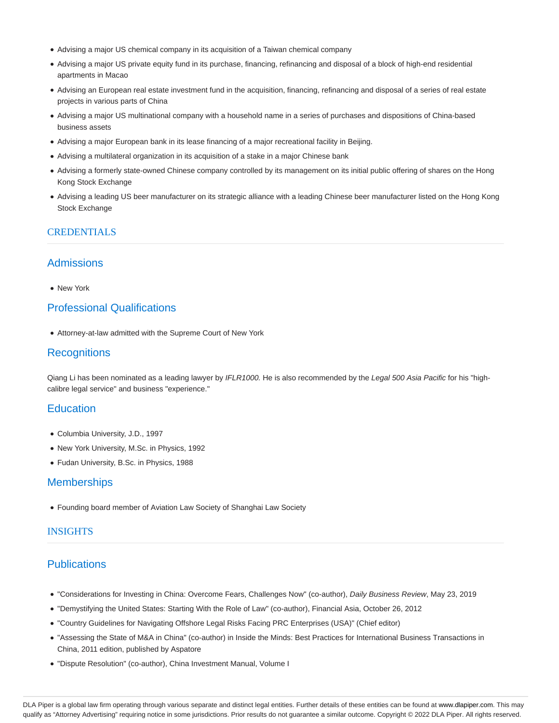- Advising a major US chemical company in its acquisition of a Taiwan chemical company
- Advising a major US private equity fund in its purchase, financing, refinancing and disposal of a block of high-end residential apartments in Macao
- Advising an European real estate investment fund in the acquisition, financing, refinancing and disposal of a series of real estate projects in various parts of China
- Advising a major US multinational company with a household name in a series of purchases and dispositions of China-based business assets
- Advising a major European bank in its lease financing of a major recreational facility in Beijing.
- Advising a multilateral organization in its acquisition of a stake in a major Chinese bank
- Advising a formerly state-owned Chinese company controlled by its management on its initial public offering of shares on the Hong Kong Stock Exchange
- Advising a leading US beer manufacturer on its strategic alliance with a leading Chinese beer manufacturer listed on the Hong Kong Stock Exchange

### **CREDENTIALS**

### Admissions

New York

## Professional Qualifications

Attorney-at-law admitted with the Supreme Court of New York

### **Recognitions**

Qiang Li has been nominated as a leading lawyer by IFLR1000. He is also recommended by the Legal 500 Asia Pacific for his "highcalibre legal service" and business "experience."

#### **Education**

- Columbia University, J.D., 1997
- New York University, M.Sc. in Physics, 1992
- Fudan University, B.Sc. in Physics, 1988

### **Memberships**

Founding board member of Aviation Law Society of Shanghai Law Society

#### INSIGHTS

### **Publications**

- "Considerations for Investing in China: Overcome Fears, Challenges Now" (co-author), Daily Business Review, May 23, 2019
- "Demystifying the United States: Starting With the Role of Law" (co-author), Financial Asia, October 26, 2012
- "Country Guidelines for Navigating Offshore Legal Risks Facing PRC Enterprises (USA)" (Chief editor)
- "Assessing the State of M&A in China" (co-author) in Inside the Minds: Best Practices for International Business Transactions in China, 2011 edition, published by Aspatore
- "Dispute Resolution" (co-author), China Investment Manual, Volume I